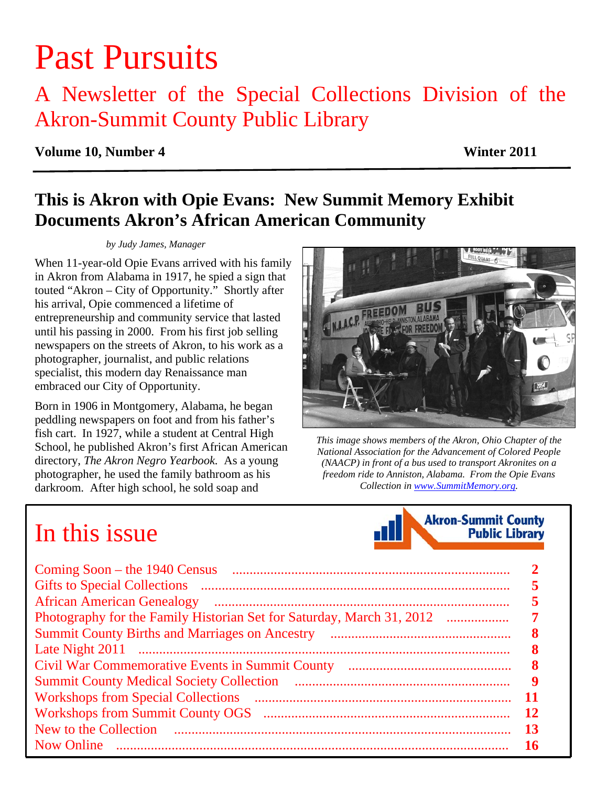# Past Pursuits

# A Newsletter of the Special Collections Division of the Akron-Summit County Public Library

### **Volume 10, Number 4 Winter 2011**

# **This is Akron with Opie Evans: New Summit Memory Exhibit Documents Akron's African American Community**

### *by Judy James, Manager*

When 11-year-old Opie Evans arrived with his family in Akron from Alabama in 1917, he spied a sign that touted "Akron – City of Opportunity." Shortly after his arrival, Opie commenced a lifetime of entrepreneurship and community service that lasted until his passing in 2000. From his first job selling newspapers on the streets of Akron, to his work as a photographer, journalist, and public relations specialist, this modern day Renaissance man embraced our City of Opportunity.

Born in 1906 in Montgomery, Alabama, he began peddling newspapers on foot and from his father's fish cart. In 1927, while a student at Central High School, he published Akron's first African American directory, *The Akron Negro Yearbook.* As a young photographer, he used the family bathroom as his darkroom. After high school, he sold soap and

# FULL QUART (

*This image shows members of the Akron, Ohio Chapter of the National Association for the Advancement of Colored People (NAACP) in front of a bus used to transport Akronites on a freedom ride to Anniston, Alabama. From the Opie Evans Collection in www.SummitMemory.org.* 

**Akron-Summit County** 

**Public Library** 

# In this issue

| <b>African American Genealogy</b><br>Photography for the Family Historian Set for Saturday, March 31, 2012 |           |
|------------------------------------------------------------------------------------------------------------|-----------|
|                                                                                                            |           |
|                                                                                                            |           |
| <b>Workshops from Special Collections</b>                                                                  | 9<br>11   |
|                                                                                                            | -12<br>13 |
| <b>Now Online</b>                                                                                          |           |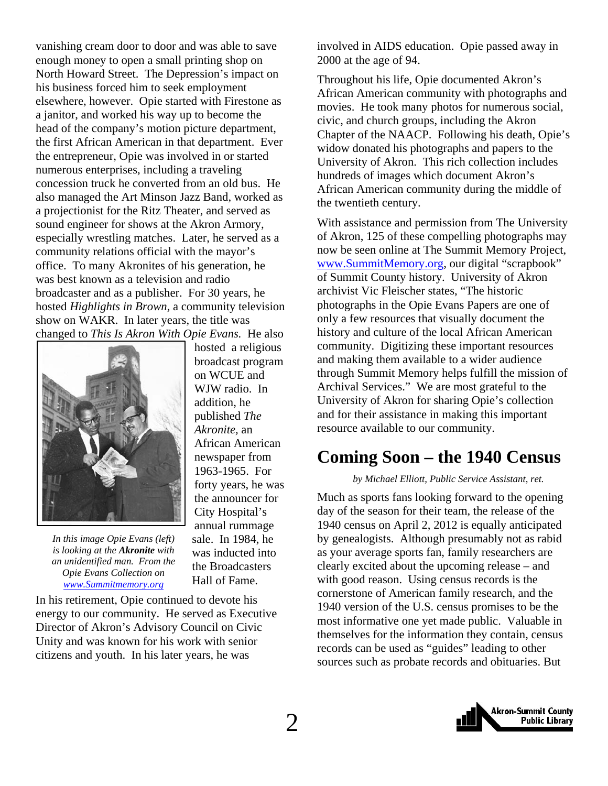<span id="page-1-0"></span>vanishing cream door to door and was able to save enough money to open a small printing shop on North Howard Street. The Depression's impact on his business forced him to seek employment elsewhere, however. Opie started with Firestone as a janitor, and worked his way up to become the head of the company's motion picture department, the first African American in that department. Ever the entrepreneur, Opie was involved in or started numerous enterprises, including a traveling concession truck he converted from an old bus. He also managed the Art Minson Jazz Band, worked as a projectionist for the Ritz Theater, and served as sound engineer for shows at the Akron Armory, especially wrestling matches. Later, he served as a community relations official with the mayor's office. To many Akronites of his generation, he was best known as a television and radio broadcaster and as a publisher. For 30 years, he hosted *Highlights in Brown,* a community television show on WAKR. In later years, the title was changed to *This Is Akron With Opie Evans.* He also



*In this image Opie Evans (left) is looking at the Akronite with an unidentified man. From the Opie Evans Collection on www.Summitmemory.org*

hosted a religious broadcast program on WCUE and WJW radio. In addition, he published *The Akronite,* an African American newspaper from 1963-1965. For forty years, he was the announcer for City Hospital's annual rummage sale. In 1984, he was inducted into the Broadcasters Hall of Fame.

In his retirement, Opie continued to devote his energy to our community. He served as Executive Director of Akron's Advisory Council on Civic Unity and was known for his work with senior citizens and youth. In his later years, he was

involved in AIDS education. Opie passed away in 2000 at the age of 94.

Throughout his life, Opie documented Akron's African American community with photographs and movies. He took many photos for numerous social, civic, and church groups, including the Akron Chapter of the NAACP. Following his death, Opie's widow donated his photographs and papers to the University of Akron. This rich collection includes hundreds of images which document Akron's African American community during the middle of the twentieth century.

With assistance and permission from The University of Akron, 125 of these compelling photographs may now be seen online at The Summit Memory Project, www.SummitMemory.org, our digital "scrapbook" of Summit County history. University of Akron archivist Vic Fleischer states, "The historic photographs in the Opie Evans Papers are one of only a few resources that visually document the history and culture of the local African American community. Digitizing these important resources and making them available to a wider audience through Summit Memory helps fulfill the mission of Archival Services." We are most grateful to the University of Akron for sharing Opie's collection and for their assistance in making this important resource available to our community.

### **Coming Soon – the 1940 Census**

### *by Michael Elliott, Public Service Assistant, ret.*

Much as sports fans looking forward to the opening day of the season for their team, the release of the 1940 census on April 2, 2012 is equally anticipated by genealogists. Although presumably not as rabid as your average sports fan, family researchers are clearly excited about the upcoming release – and with good reason. Using census records is the cornerstone of American family research, and the 1940 version of the U.S. census promises to be the most informative one yet made public. Valuable in themselves for the information they contain, census records can be used as "guides" leading to other sources such as probate records and obituaries. But

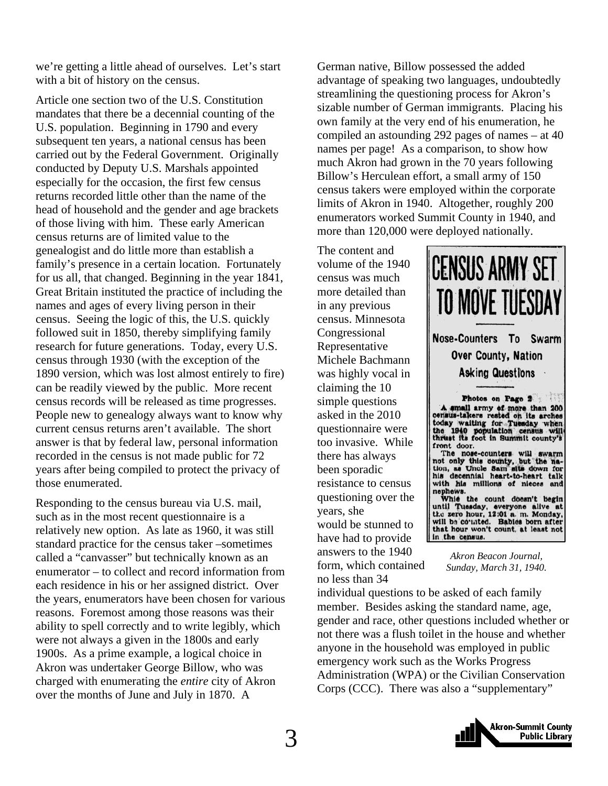we're getting a little ahead of ourselves. Let's start with a bit of history on the census.

Article one section two of the U.S. Constitution mandates that there be a decennial counting of the U.S. population. Beginning in 1790 and every subsequent ten years, a national census has been carried out by the Federal Government. Originally conducted by Deputy U.S. Marshals appointed especially for the occasion, the first few census returns recorded little other than the name of the head of household and the gender and age brackets of those living with him. These early American census returns are of limited value to the genealogist and do little more than establish a family's presence in a certain location. Fortunately for us all, that changed. Beginning in the year 1841, Great Britain instituted the practice of including the names and ages of every living person in their census. Seeing the logic of this, the U.S. quickly followed suit in 1850, thereby simplifying family research for future generations. Today, every U.S. census through 1930 (with the exception of the 1890 version, which was lost almost entirely to fire) can be readily viewed by the public. More recent census records will be released as time progresses. People new to genealogy always want to know why current census returns aren't available. The short answer is that by federal law, personal information recorded in the census is not made public for 72 years after being compiled to protect the privacy of those enumerated.

Responding to the census bureau via U.S. mail, such as in the most recent questionnaire is a relatively new option. As late as 1960, it was still standard practice for the census taker –sometimes called a "canvasser" but technically known as an enumerator – to collect and record information from each residence in his or her assigned district. Over the years, enumerators have been chosen for various reasons. Foremost among those reasons was their ability to spell correctly and to write legibly, which were not always a given in the 1800s and early 1900s. As a prime example, a logical choice in Akron was undertaker George Billow, who was charged with enumerating the *entire* city of Akron over the months of June and July in 1870. A

German native, Billow possessed the added advantage of speaking two languages, undoubtedly streamlining the questioning process for Akron's sizable number of German immigrants. Placing his own family at the very end of his enumeration, he compiled an astounding 292 pages of names – at 40 names per page! As a comparison, to show how much Akron had grown in the 70 years following Billow's Herculean effort, a small army of 150 census takers were employed within the corporate limits of Akron in 1940. Altogether, roughly 200 enumerators worked Summit County in 1940, and more than 120,000 were deployed nationally.

The content and volume of the 1940 census was much more detailed than in any previous census. Minnesota Congressional Representative Michele Bachmann was highly vocal in claiming the 10 simple questions asked in the 2010 questionnaire were too invasive. While there has always been sporadic resistance to census questioning over the years, she would be stunned to have had to provide answers to the 1940 form, which contained no less than 34



nephews.<br>Which the count doesn't begin until Tuesday, everyone alive at the zero hour, 12:01 a. m. Monday, will be counted. Bables born after that hour won't count, at least not

> *Akron Beacon Journal, Sunday, March 31, 1940.*

individual questions to be asked of each family member. Besides asking the standard name, age, gender and race, other questions included whether or not there was a flush toilet in the house and whether anyone in the household was employed in public emergency work such as the Works Progress Administration (WPA) or the Civilian Conservation Corps (CCC). There was also a "supplementary"

in the census.

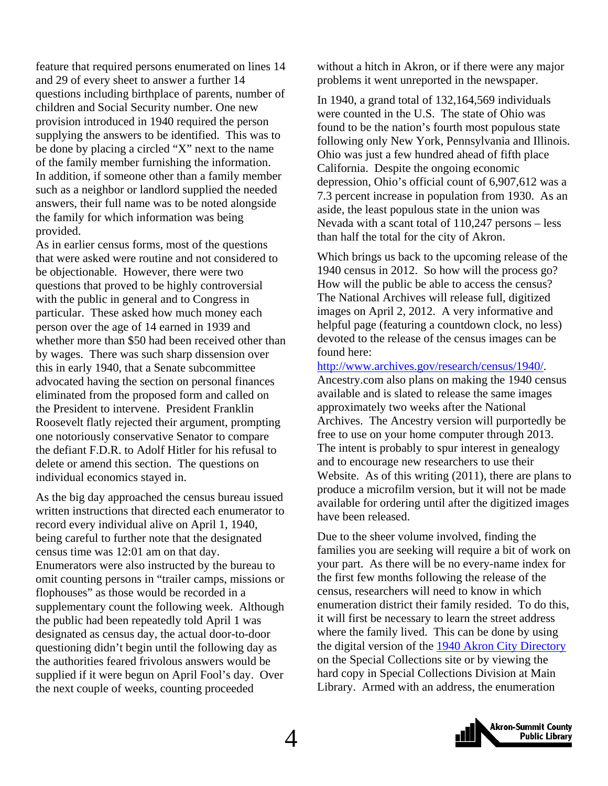feature that required persons enumerated on lines 14 and 29 of every sheet to answer a further 14 questions including birthplace of parents, number of children and Social Security number. One new provision introduced in 1940 required the person supplying the answers to be identified. This was to be done by placing a circled "X" next to the name of the family member furnishing the information. In addition, if someone other than a family member such as a neighbor or landlord supplied the needed answers, their full name was to be noted alongside the family for which information was being provided.

As in earlier census forms, most of the questions that were asked were routine and not considered to be objectionable. However, there were two questions that proved to be highly controversial with the public in general and to Congress in particular. These asked how much money each person over the age of 14 earned in 1939 and whether more than \$50 had been received other than by wages. There was such sharp dissension over this in early 1940, that a Senate subcommittee advocated having the section on personal finances eliminated from the proposed form and called on the President to intervene. President Franklin Roosevelt flatly rejected their argument, prompting one notoriously conservative Senator to compare the defiant F.D.R. to Adolf Hitler for his refusal to delete or amend this section. The questions on individual economics stayed in.

As the big day approached the census bureau issued written instructions that directed each enumerator to record every individual alive on April 1, 1940, being careful to further note that the designated census time was 12:01 am on that day. Enumerators were also instructed by the bureau to omit counting persons in "trailer camps, missions or flophouses" as those would be recorded in a supplementary count the following week. Although the public had been repeatedly told April 1 was designated as census day, the actual door-to-door questioning didn't begin until the following day as the authorities feared frivolous answers would be supplied if it were begun on April Fool's day. Over the next couple of weeks, counting proceeded

without a hitch in Akron, or if there were any major problems it went unreported in the newspaper.

In 1940, a grand total of 132,164,569 individuals were counted in the U.S. The state of Ohio was found to be the nation's fourth most populous state following only New York, Pennsylvania and Illinois. Ohio was just a few hundred ahead of fifth place California. Despite the ongoing economic depression, Ohio's official count of 6,907,612 was a 7.3 percent increase in population from 1930. As an aside, the least populous state in the union was Nevada with a scant total of 110,247 persons – less than half the total for the city of Akron.

Which brings us back to the upcoming release of the 1940 census in 2012. So how will the process go? How will the public be able to access the census? The National Archives will release full, digitized images on April 2, 2012. A very informative and helpful page (featuring a countdown clock, no less) devoted to the release of the census images can be found here:

http://www.archives.gov/research/census/1940/. Ancestry.com also plans on making the 1940 census available and is slated to release the same images approximately two weeks after the National Archives. The Ancestry version will purportedly be free to use on your home computer through 2013. The intent is probably to spur interest in genealogy and to encourage new researchers to use their Website. As of this writing (2011), there are plans to produce a microfilm version, but it will not be made available for ordering until after the digitized images have been released.

Due to the sheer volume involved, finding the families you are seeking will require a bit of work on your part. As there will be no every-name index for the first few months following the release of the census, researchers will need to know in which enumeration district their family resided. To do this, it will first be necessary to learn the street address where the family lived. This can be done by using the digital version of the [1940 Akron City Directory](http://sc.akronlibrary.org/genealogy/city-directories/) on the Special Collections site or by viewing the hard copy in Special Collections Division at Main Library. Armed with an address, the enumeration

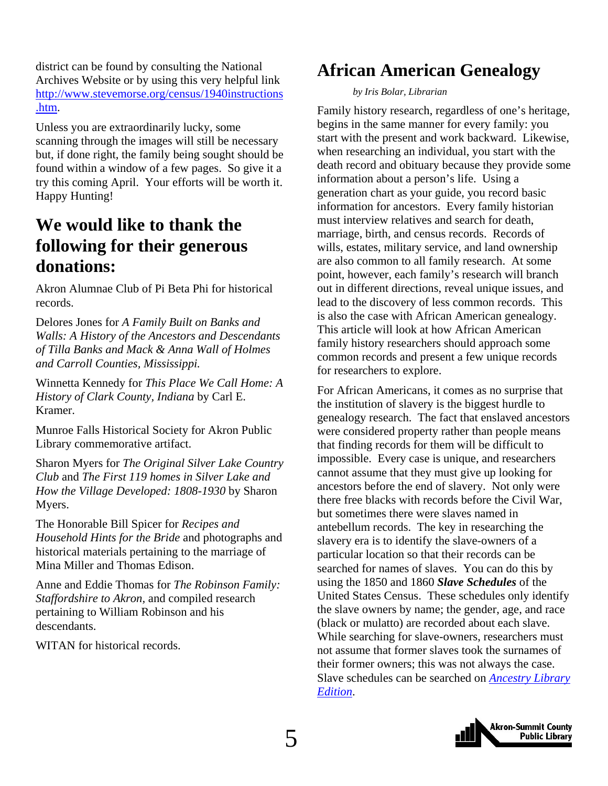<span id="page-4-0"></span>district can be found by consulting the National Archives Website or by using this very helpful link [http://www.stevemorse.org/census/1940instructions](http://www.stevemorse.org/census/1940instructions.htm) .htm.

Unless you are extraordinarily lucky, some scanning through the images will still be necessary but, if done right, the family being sought should be found within a window of a few pages. So give it a try this coming April. Your efforts will be worth it. Happy Hunting!

# **We would like to thank the following for their generous donations:**

Akron Alumnae Club of Pi Beta Phi for historical records.

Delores Jones for *A Family Built on Banks and Walls: A History of the Ancestors and Descendants of Tilla Banks and Mack & Anna Wall of Holmes and Carroll Counties, Mississippi.*

Winnetta Kennedy for *This Place We Call Home: A History of Clark County, Indiana* by Carl E. Kramer.

Munroe Falls Historical Society for Akron Public Library commemorative artifact.

Sharon Myers for *The Original Silver Lake Country Club* and *The First 119 homes in Silver Lake and How the Village Developed: 1808-1930* by Sharon Myers.

The Honorable Bill Spicer for *Recipes and Household Hints for the Bride* and photographs and historical materials pertaining to the marriage of Mina Miller and Thomas Edison.

Anne and Eddie Thomas for *The Robinson Family: Staffordshire to Akron,* and compiled research pertaining to William Robinson and his descendants.

WITAN for historical records.

# **African American Genealogy**

### *by Iris Bolar, Librarian*

Family history research, regardless of one's heritage, begins in the same manner for every family: you start with the present and work backward. Likewise, when researching an individual, you start with the death record and obituary because they provide some information about a person's life. Using a generation chart as your guide, you record basic information for ancestors. Every family historian must interview relatives and search for death, marriage, birth, and census records. Records of wills, estates, military service, and land ownership are also common to all family research. At some point, however, each family's research will branch out in different directions, reveal unique issues, and lead to the discovery of less common records. This is also the case with African American genealogy. This article will look at how African American family history researchers should approach some common records and present a few unique records for researchers to explore.

For African Americans, it comes as no surprise that the institution of slavery is the biggest hurdle to genealogy research. The fact that enslaved ancestors were considered property rather than people means that finding records for them will be difficult to impossible. Every case is unique, and researchers cannot assume that they must give up looking for ancestors before the end of slavery. Not only were there free blacks with records before the Civil War, but sometimes there were slaves named in antebellum records. The key in researching the slavery era is to identify the slave-owners of a particular location so that their records can be searched for names of slaves. You can do this by using the 1850 and 1860 *Slave Schedules* of the United States Census. These schedules only identify the slave owners by name; the gender, age, and race (black or mulatto) are recorded about each slave. While searching for slave-owners, researchers must not assume that former slaves took the surnames of their former owners; this was not always the case. [Slave schedules can be searched on](http://www.akronlibrary.org/databases/index.html#genealogy) *Ancestry Library Edition*.

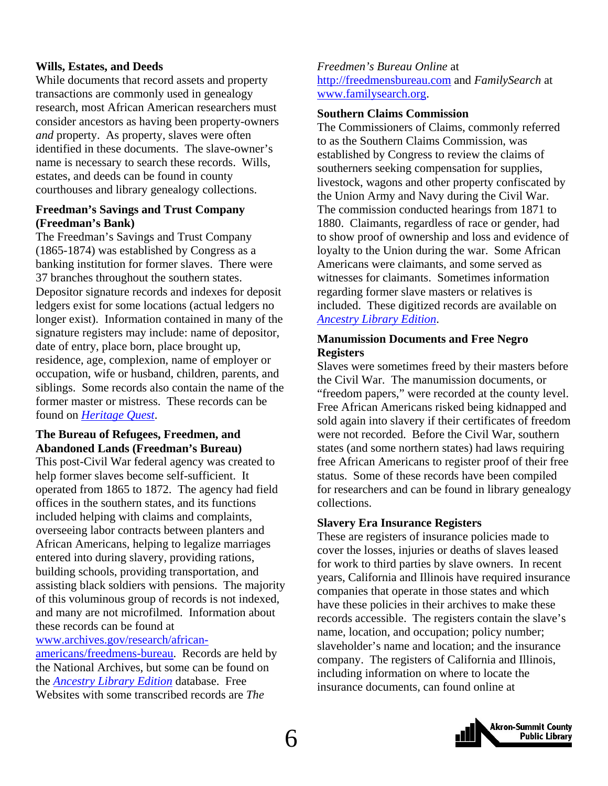### **Wills, Estates, and Deeds**

While documents that record assets and property transactions are commonly used in genealogy research, most African American researchers must consider ancestors as having been property-owners *and* property. As property, slaves were often identified in these documents. The slave-owner's name is necessary to search these records. Wills, estates, and deeds can be found in county courthouses and library genealogy collections.

### **Freedman's Savings and Trust Company (Freedman's Bank)**

The Freedman's Savings and Trust Company (1865-1874) was established by Congress as a banking institution for former slaves. There were 37 branches throughout the southern states. Depositor signature records and indexes for deposit ledgers exist for some locations (actual ledgers no longer exist). Information contained in many of the signature registers may include: name of depositor, date of entry, place born, place brought up, residence, age, complexion, name of employer or occupation, wife or husband, children, parents, and siblings. Some records also contain the name of the former master or mistress. These records can be found on *[Heritage Quest](http://www.akronlibrary.org/databases/index.html#genealogy)*.

### **The Bureau of Refugees, Freedmen, and Abandoned Lands (Freedman's Bureau)**

This post-Civil War federal agency was created to help former slaves become self-sufficient. It operated from 1865 to 1872. The agency had field offices in the southern states, and its functions included helping with claims and complaints, overseeing labor contracts between planters and African Americans, helping to legalize marriages entered into during slavery, providing rations, building schools, providing transportation, and assisting black soldiers with pensions. The majority of this voluminous group of records is not indexed, and many are not microfilmed. Information about these records can be found at

### www.archives.gov/research/african-

americans/freedmens-bureau. Records are held by the National Archives, but some can be found on the *[Ancestry Library Edition](http://www.akronlibrary.org/databases/index.html#genealogy)* database. Free Websites with some transcribed records are *The* 

### *Freedmen's Bureau Online* at http://freedmensbureau.com and *FamilySearch* at www.familysearch.org.

### **Southern Claims Commission**

The Commissioners of Claims, commonly referred to as the Southern Claims Commission, was established by Congress to review the claims of southerners seeking compensation for supplies, livestock, wagons and other property confiscated by the Union Army and Navy during the Civil War. The commission conducted hearings from 1871 to 1880. Claimants, regardless of race or gender, had to show proof of ownership and loss and evidence of loyalty to the Union during the war. Some African Americans were claimants, and some served as witnesses for claimants. Sometimes information regarding former slave masters or relatives is included. These digitized records are available on *[Ancestry Library Edition](http://www.akronlibrary.org/databases/index.html#genealogy)*.

### **Manumission Documents and Free Negro Registers**

Slaves were sometimes freed by their masters before the Civil War. The manumission documents, or "freedom papers," were recorded at the county level. Free African Americans risked being kidnapped and sold again into slavery if their certificates of freedom were not recorded. Before the Civil War, southern states (and some northern states) had laws requiring free African Americans to register proof of their free status. Some of these records have been compiled for researchers and can be found in library genealogy collections.

### **Slavery Era Insurance Registers**

These are registers of insurance policies made to cover the losses, injuries or deaths of slaves leased for work to third parties by slave owners. In recent years, California and Illinois have required insurance companies that operate in those states and which have these policies in their archives to make these records accessible. The registers contain the slave's name, location, and occupation; policy number; slaveholder's name and location; and the insurance company. The registers of California and Illinois, including information on where to locate the insurance documents, can found online at

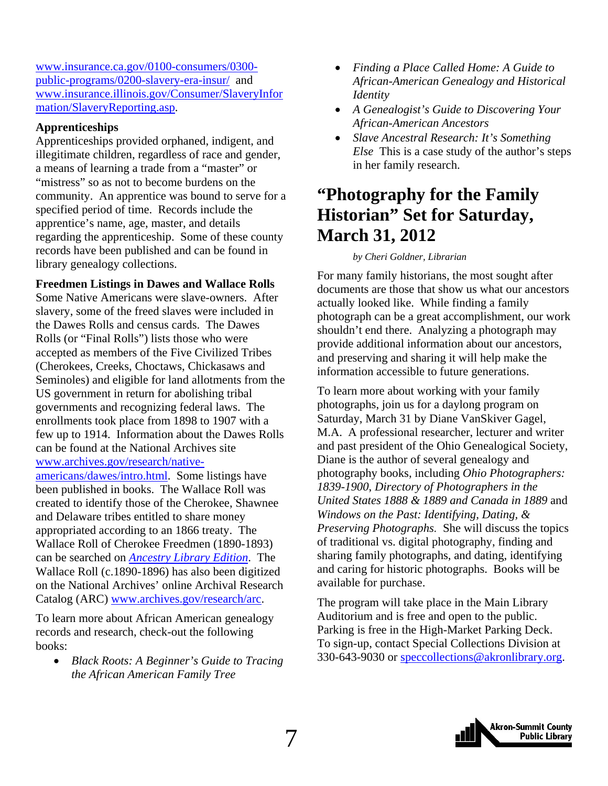<span id="page-6-0"></span>www.insurance.ca.gov/0100-consumers/0300 public-programs/0200-slavery-era-insur/ and [www.insurance.illinois.gov/Consumer/SlaveryInfor](http://www.insurance.illinois.gov/Consumer/SlaveryInformation/SlaveryReporting.asp) mation/SlaveryReporting.asp.

### **Apprenticeships**

Apprenticeships provided orphaned, indigent, and illegitimate children, regardless of race and gender, a means of learning a trade from a "master" or "mistress" so as not to become burdens on the community. An apprentice was bound to serve for a specified period of time. Records include the apprentice's name, age, master, and details regarding the apprenticeship. Some of these county records have been published and can be found in library genealogy collections.

**Freedmen Listings in Dawes and Wallace Rolls**  Some Native Americans were slave-owners. After slavery, some of the freed slaves were included in the Dawes Rolls and census cards. The Dawes Rolls (or "Final Rolls") lists those who were accepted as members of the Five Civilized Tribes (Cherokees, Creeks, Choctaws, Chickasaws and Seminoles) and eligible for land allotments from the US government in return for abolishing tribal governments and recognizing federal laws. The enrollments took place from 1898 to 1907 with a few up to 1914. Information about the Dawes Rolls can be found at the National Archives site www.archives.gov/research/nativeamericans/dawes/intro.html. Some listings have been published in books. The Wallace Roll was created to identify those of the Cherokee, Shawnee

and Delaware tribes entitled to share money appropriated according to an 1866 treaty. The Wallace Roll of Cherokee Freedmen (1890-1893) can be searched on *[Ancestry Library Edition](http://www.akronlibrary.org/databases/index.html#genealogy)*. The Wallace Roll (c.1890-1896) has also been digitized on the National Archives' online Archival Research Catalog (ARC) www.archives.gov/research/arc.

To learn more about African American genealogy records and research, check-out the following books:

• *Black Roots: A Beginner's Guide to Tracing the African American Family Tree* 

- *Finding a Place Called Home: A Guide to African-American Genealogy and Historical Identity*
- *A Genealogist's Guide to Discovering Your African-American Ancestors*
- *Slave Ancestral Research: It's Something Else* This is a case study of the author's steps in her family research.

# **"Photography for the Family Historian" Set for Saturday, March 31, 2012**

### *by Cheri Goldner, Librarian*

For many family historians, the most sought after documents are those that show us what our ancestors actually looked like. While finding a family photograph can be a great accomplishment, our work shouldn't end there. Analyzing a photograph may provide additional information about our ancestors, and preserving and sharing it will help make the information accessible to future generations.

To learn more about working with your family photographs, join us for a daylong program on Saturday, March 31 by Diane VanSkiver Gagel, M.A. A professional researcher, lecturer and writer and past president of the Ohio Genealogical Society, Diane is the author of several genealogy and photography books, including *Ohio Photographers: 1839-1900*, *Directory of Photographers in the United States 1888 & 1889 and Canada in 1889* and *Windows on the Past: Identifying, Dating, & Preserving Photographs.* She will discuss the topics of traditional vs. digital photography, finding and sharing family photographs, and dating, identifying and caring for historic photographs. Books will be available for purchase.

The program will take place in the Main Library Auditorium and is free and open to the public. Parking is free in the High-Market Parking Deck. To sign-up, contact Special Collections Division at 330-643-9030 or speccollections@akronlibrary.org.

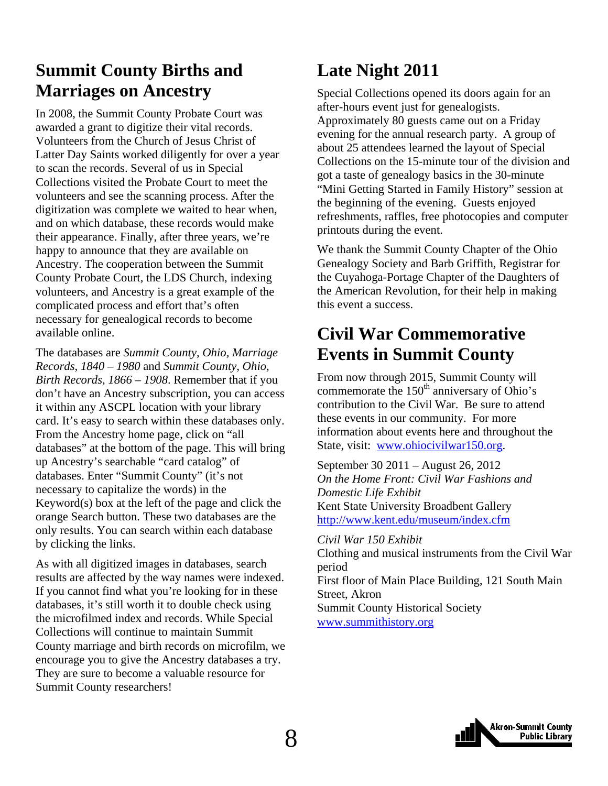# <span id="page-7-0"></span>**Summit County Births and Marriages on Ancestry**

In 2008, the Summit County Probate Court was awarded a grant to digitize their vital records. Volunteers from the Church of Jesus Christ of Latter Day Saints worked diligently for over a year to scan the records. Several of us in Special Collections visited the Probate Court to meet the volunteers and see the scanning process. After the digitization was complete we waited to hear when, and on which database, these records would make their appearance. Finally, after three years, we're happy to announce that they are available on Ancestry. The cooperation between the Summit County Probate Court, the LDS Church, indexing volunteers, and Ancestry is a great example of the complicated process and effort that's often necessary for genealogical records to become available online.

The databases are *Summit County, Ohio, Marriage Records, 1840 – 1980* and *Summit County, Ohio, Birth Records, 1866 – 1908*. Remember that if you don't have an Ancestry subscription, you can access it within any ASCPL location with your library card. It's easy to search within these databases only. From the Ancestry home page, click on "all databases" at the bottom of the page. This will bring up Ancestry's searchable "card catalog" of databases. Enter "Summit County" (it's not necessary to capitalize the words) in the Keyword(s) box at the left of the page and click the orange Search button. These two databases are the only results. You can search within each database by clicking the links.

As with all digitized images in databases, search results are affected by the way names were indexed. If you cannot find what you're looking for in these databases, it's still worth it to double check using the microfilmed index and records. While Special Collections will continue to maintain Summit County marriage and birth records on microfilm, we encourage you to give the Ancestry databases a try. They are sure to become a valuable resource for Summit County researchers!

# **Late Night 2011**

Special Collections opened its doors again for an after-hours event just for genealogists. Approximately 80 guests came out on a Friday evening for the annual research party. A group of about 25 attendees learned the layout of Special Collections on the 15-minute tour of the division and got a taste of genealogy basics in the 30-minute "Mini Getting Started in Family History" session at the beginning of the evening. Guests enjoyed refreshments, raffles, free photocopies and computer printouts during the event.

We thank the Summit County Chapter of the Ohio Genealogy Society and Barb Griffith, Registrar for the Cuyahoga-Portage Chapter of the Daughters of the American Revolution, for their help in making this event a success.

# **Civil War Commemorative Events in Summit County**

From now through 2015, Summit County will commemorate the  $150<sup>th</sup>$  anniversary of Ohio's contribution to the Civil War. Be sure to attend these events in our community. For more information about events here and throughout the State, visit: www.ohiocivilwar150.org.

September 30 2011 – August 26, 2012 *On the Home Front: Civil War Fashions and Domestic Life Exhibit*  Kent State University Broadbent Gallery http://www.kent.edu/museum/index.cfm

*Civil War 150 Exhibit* Clothing and musical instruments from the Civil War period First floor of Main Place Building, 121 South Main Street, Akron Summit County Historical Society www.summithistory.org

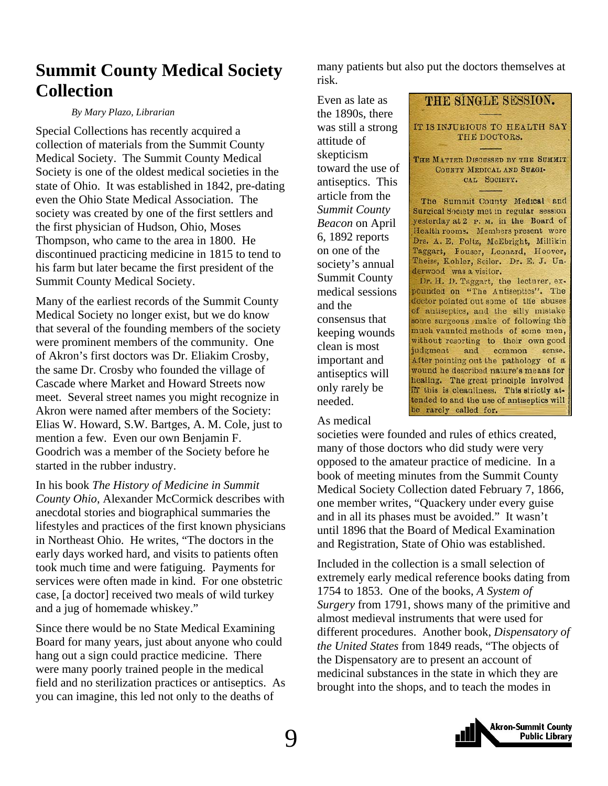# <span id="page-8-0"></span>**Summit County Medical Society Collection**

### *By Mary Plazo, Librarian*

Special Collections has recently acquired a collection of materials from the Summit County Medical Society. The Summit County Medical Society is one of the oldest medical societies in the state of Ohio. It was established in 1842, pre-dating even the Ohio State Medical Association. The society was created by one of the first settlers and the first physician of Hudson, Ohio, Moses Thompson, who came to the area in 1800. He discontinued practicing medicine in 1815 to tend to his farm but later became the first president of the Summit County Medical Society.

Many of the earliest records of the Summit County Medical Society no longer exist, but we do know that several of the founding members of the society were prominent members of the community. One of Akron's first doctors was Dr. Eliakim Crosby, the same Dr. Crosby who founded the village of Cascade where Market and Howard Streets now meet. Several street names you might recognize in Akron were named after members of the Society: Elias W. Howard, S.W. Bartges, A. M. Cole, just to mention a few. Even our own Benjamin F. Goodrich was a member of the Society before he started in the rubber industry.

In his book *The History of Medicine in Summit County Ohio*, Alexander McCormick describes with anecdotal stories and biographical summaries the lifestyles and practices of the first known physicians in Northeast Ohio. He writes, "The doctors in the early days worked hard, and visits to patients often took much time and were fatiguing. Payments for services were often made in kind. For one obstetric case, [a doctor] received two meals of wild turkey and a jug of homemade whiskey."

Since there would be no State Medical Examining Board for many years, just about anyone who could hang out a sign could practice medicine. There were many poorly trained people in the medical field and no sterilization practices or antiseptics. As you can imagine, this led not only to the deaths of

many patients but also put the doctors themselves at risk.

THE SINGLE SESSION.

IT IS INJURIOUS TO HEALTH SAY THE DOCTORS.

THE MATTER DISCUSSED BY THE SUMMIT COUNTY MEDICAL AND SURGI-CAL SOCIETY.

The Summit County Medical and Surgical Society met in regular session yesterday at 2 P. M. in the Board of Health rooms. Members present were Drs. A. E. Foltz, McEbright, Millikin Taggart, Fouser, Leonard, Hoover, Theiss, Kohler, Seiler. Dr. E. J. Un-

Dr. H. D. Taggart, the lecturer, expounded on "The Antiseptics". The doctor pointed out some of the abuses of antiseptics, and the silly mistake some surgeons make of following the much vaunted methods of some men, without resorting to their own good

After pointing out the pathology of a wound he described nature's means for healing. The great principle involved in this is cleanliness. This strictly at-

common

sense.

derwood was a visitor.

Even as late as the 1890s, there was still a strong attitude of skepticism toward the use of antiseptics. This article from the *Summit County Beacon* on April 6, 1892 reports on one of the society's annual Summit County medical sessions and the consensus that keeping wounds clean is most important and antiseptics will only rarely be needed.

As medical

tended to and the use of antiseptics will be rarely called for. societies were founded and rules of ethics created, many of those doctors who did study were very opposed to the amateur practice of medicine. In a book of meeting minutes from the Summit County Medical Society Collection dated February 7, 1866, one member writes, "Quackery under every guise and in all its phases must be avoided." It wasn't until 1896 that the Board of Medical Examination and Registration, State of Ohio was established.

judgment and

Included in the collection is a small selection of extremely early medical reference books dating from 1754 to 1853. One of the books, *A System of Surgery* from 1791, shows many of the primitive and almost medieval instruments that were used for different procedures. Another book, *Dispensatory of the United States* from 1849 reads, "The objects of the Dispensatory are to present an account of medicinal substances in the state in which they are brought into the shops, and to teach the modes in

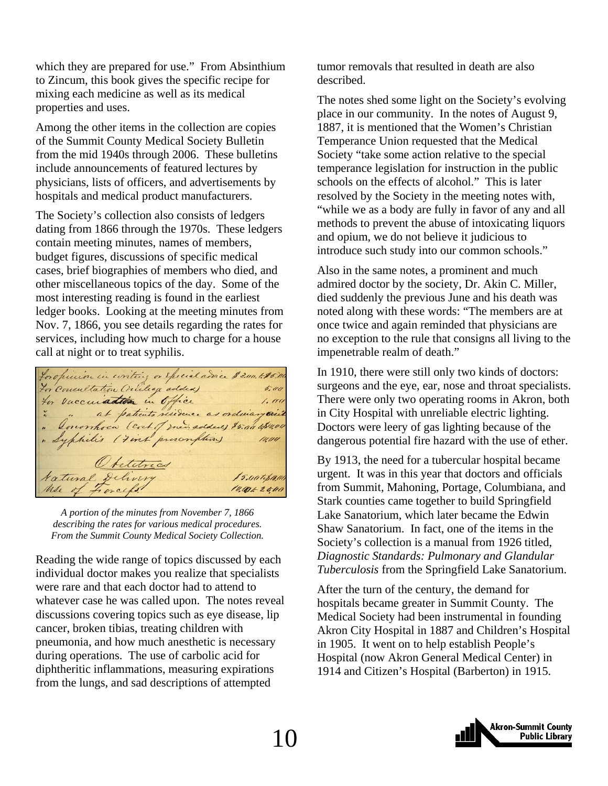which they are prepared for use." From Absinthium to Zincum, this book gives the specific recipe for mixing each medicine as well as its medical properties and uses.

Among the other items in the collection are copies of the Summit County Medical Society Bulletin from the mid 1940s through 2006. These bulletins include announcements of featured lectures by physicians, lists of officers, and advertisements by hospitals and medical product manufacturers.

The Society's collection also consists of ledgers dating from 1866 through the 1970s. These ledgers contain meeting minutes, names of members, budget figures, discussions of specific medical cases, brief biographies of members who died, and other miscellaneous topics of the day. Some of the most interesting reading is found in the earliest ledger books. Looking at the meeting minutes from Nov. 7, 1866, you see details regarding the rates for services, including how much to charge for a house call at night or to treat syphilis.

foropinion in coriting or special advice \$ 3.00. to \$5.00 For Consultation (Willage added)  $5.00$ for vaccuiation in Office  $1.111$ ra vaccunadamente residence as ordinary visit Optetrics Natural Delivery 15.00 to \$ 10,00  $10,0062800$ 

*A portion of the minutes from November 7, 1866 describing the rates for various medical procedures. From the Summit County Medical Society Collection.* 

Reading the wide range of topics discussed by each individual doctor makes you realize that specialists were rare and that each doctor had to attend to whatever case he was called upon. The notes reveal discussions covering topics such as eye disease, lip cancer, broken tibias, treating children with pneumonia, and how much anesthetic is necessary during operations. The use of carbolic acid for diphtheritic inflammations, measuring expirations from the lungs, and sad descriptions of attempted

tumor removals that resulted in death are also described.

The notes shed some light on the Society's evolving place in our community. In the notes of August 9, 1887, it is mentioned that the Women's Christian Temperance Union requested that the Medical Society "take some action relative to the special temperance legislation for instruction in the public schools on the effects of alcohol." This is later resolved by the Society in the meeting notes with, "while we as a body are fully in favor of any and all methods to prevent the abuse of intoxicating liquors and opium, we do not believe it judicious to introduce such study into our common schools."

Also in the same notes, a prominent and much admired doctor by the society, Dr. Akin C. Miller, died suddenly the previous June and his death was noted along with these words: "The members are at once twice and again reminded that physicians are no exception to the rule that consigns all living to the impenetrable realm of death."

In 1910, there were still only two kinds of doctors: surgeons and the eye, ear, nose and throat specialists. There were only two operating rooms in Akron, both in City Hospital with unreliable electric lighting. Doctors were leery of gas lighting because of the dangerous potential fire hazard with the use of ether.

By 1913, the need for a tubercular hospital became urgent. It was in this year that doctors and officials from Summit, Mahoning, Portage, Columbiana, and Stark counties came together to build Springfield Lake Sanatorium, which later became the Edwin Shaw Sanatorium. In fact, one of the items in the Society's collection is a manual from 1926 titled, *Diagnostic Standards: Pulmonary and Glandular Tuberculosis* from the Springfield Lake Sanatorium.

After the turn of the century, the demand for hospitals became greater in Summit County. The Medical Society had been instrumental in founding Akron City Hospital in 1887 and Children's Hospital in 1905. It went on to help establish People's Hospital (now Akron General Medical Center) in 1914 and Citizen's Hospital (Barberton) in 1915.

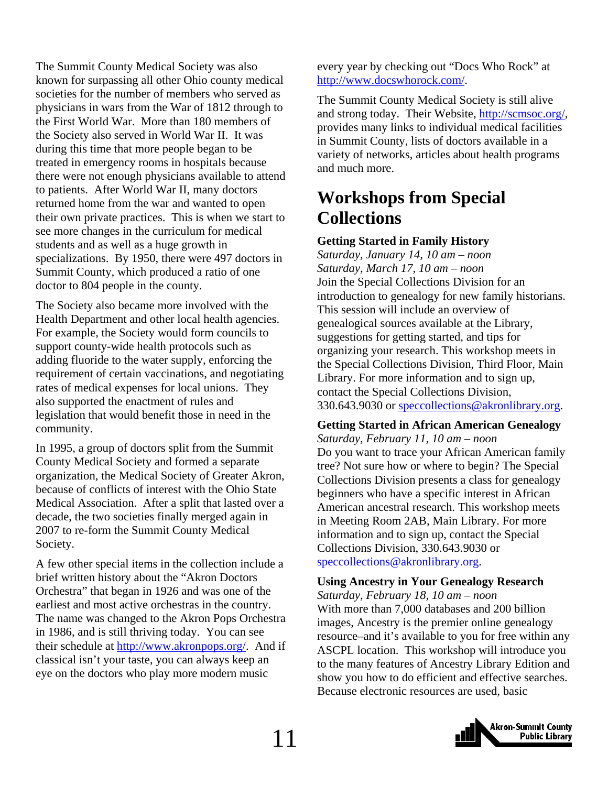<span id="page-10-0"></span>The Summit County Medical Society was also known for surpassing all other Ohio county medical societies for the number of members who served as physicians in wars from the War of 1812 through to the First World War. More than 180 members of the Society also served in World War II. It was during this time that more people began to be treated in emergency rooms in hospitals because there were not enough physicians available to attend to patients. After World War II, many doctors returned home from the war and wanted to open their own private practices. This is when we start to see more changes in the curriculum for medical students and as well as a huge growth in specializations. By 1950, there were 497 doctors in Summit County, which produced a ratio of one doctor to 804 people in the county.

The Society also became more involved with the Health Department and other local health agencies. For example, the Society would form councils to support county-wide health protocols such as adding fluoride to the water supply, enforcing the requirement of certain vaccinations, and negotiating rates of medical expenses for local unions. They also supported the enactment of rules and legislation that would benefit those in need in the community.

In 1995, a group of doctors split from the Summit County Medical Society and formed a separate organization, the Medical Society of Greater Akron, because of conflicts of interest with the Ohio State Medical Association. After a split that lasted over a decade, the two societies finally merged again in 2007 to re-form the Summit County Medical Society.

A few other special items in the collection include a brief written history about the "Akron Doctors Orchestra" that began in 1926 and was one of the earliest and most active orchestras in the country. The name was changed to the Akron Pops Orchestra in 1986, and is still thriving today. You can see their schedule at http://www.akronpops.org/. And if classical isn't your taste, you can always keep an eye on the doctors who play more modern music

every year by checking out "Docs Who Rock" at http://www.docswhorock.com/.

The Summit County Medical Society is still alive and strong today. Their Website, http://scmsoc.org/, provides many links to individual medical facilities in Summit County, lists of doctors available in a variety of networks, articles about health programs and much more.

# **Workshops from Special Collections**

### **Getting Started in Family History**

*Saturday, January 14, 10 am – noon Saturday, March 17, 10 am – noon*  Join the Special Collections Division for an introduction to genealogy for new family historians. This session will include an overview of genealogical sources available at the Library, suggestions for getting started, and tips for organizing your research. This workshop meets in the Special Collections Division, Third Floor, Main Library. For more information and to sign up, contact the Special Collections Division, 330.643.9030 or speccollections@akronlibrary.org.

**Getting Started in African American Genealogy**  *Saturday, February 11, 10 am – noon*  Do you want to trace your African American family tree? Not sure how or where to begin? The Special Collections Division presents a class for genealogy beginners who have a specific interest in African American ancestral research. This workshop meets in Meeting Room 2AB, Main Library. For more information and to sign up, contact the Special Collections Division, 330.643.9030 or speccollections@akronlibrary.org.

### **Using Ancestry in Your Genealogy Research**

*Saturday, February 18, 10 am – noon*  With more than 7,000 databases and 200 billion images, Ancestry is the premier online genealogy resource–and it's available to you for free within any ASCPL location. This workshop will introduce you to the many features of Ancestry Library Edition and show you how to do efficient and effective searches. Because electronic resources are used, basic

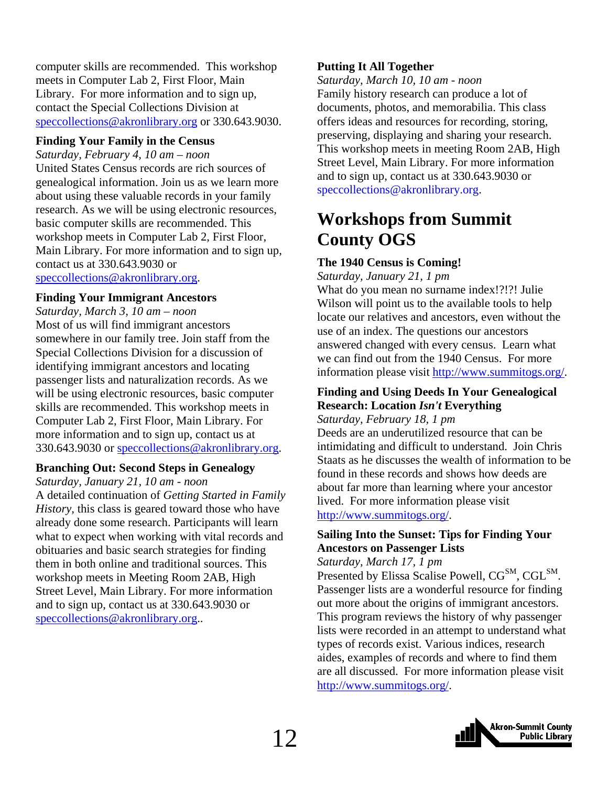<span id="page-11-0"></span>computer skills are recommended. This workshop meets in Computer Lab 2, First Floor, Main Library. For more information and to sign up, contact the Special Collections Division at speccollections@akronlibrary.org or 330.643.9030.

### **Finding Your Family in the Census**

*Saturday, February 4, 10 am – noon*  United States Census records are rich sources of genealogical information. Join us as we learn more about using these valuable records in your family research. As we will be using electronic resources, basic computer skills are recommended. This workshop meets in Computer Lab 2, First Floor, Main Library. For more information and to sign up, contact us at 330.643.9030 or speccollections@akronlibrary.org.

### **Finding Your Immigrant Ancestors**

*Saturday, March 3, 10 am – noon*  Most of us will find immigrant ancestors somewhere in our family tree. Join staff from the Special Collections Division for a discussion of identifying immigrant ancestors and locating passenger lists and naturalization records. As we will be using electronic resources, basic computer skills are recommended. This workshop meets in Computer Lab 2, First Floor, Main Library. For more information and to sign up, contact us at 330.643.9030 or speccollections@akronlibrary.org.

### **Branching Out: Second Steps in Genealogy**

```
Saturday, January 21, 10 am - noon
```
A detailed continuation of *Getting Started in Family History,* this class is geared toward those who have already done some research. Participants will learn what to expect when working with vital records and obituaries and basic search strategies for finding them in both online and traditional sources. This workshop meets in Meeting Room 2AB, High Street Level, Main Library. For more information and to sign up, contact us at 330.643.9030 or speccollections@akronlibrary.org..

### **Putting It All Together**

*Saturday, March 10, 10 am - noon*  Family history research can produce a lot of documents, photos, and memorabilia. This class offers ideas and resources for recording, storing, preserving, displaying and sharing your research. This workshop meets in meeting Room 2AB, High Street Level, Main Library. For more information and to sign up, contact us at 330.643.9030 or speccollections@akronlibrary.org.

# **Workshops from Summit County OGS**

### **The 1940 Census is Coming!**

*Saturday, January 21, 1 pm* 

What do you mean no surname index!?!?! Julie Wilson will point us to the available tools to help locate our relatives and ancestors, even without the use of an index. The questions our ancestors answered changed with every census. Learn what we can find out from the 1940 Census. For more information please visit http://www.summitogs.org/.

### **Finding and Using Deeds In Your Genealogical Research: Location** *Isn't* **Everything**

*Saturday, February 18, 1 pm* 

Deeds are an underutilized resource that can be intimidating and difficult to understand. Join Chris Staats as he discusses the wealth of information to be found in these records and shows how deeds are about far more than learning where your ancestor lived. For more information please visit http://www.summitogs.org/.

### **Sailing Into the Sunset: Tips for Finding Your Ancestors on Passenger Lists**

*Saturday, March 17, 1 pm* 

Presented by Elissa Scalise Powell, CG<sup>SM</sup>, CGL<sup>SM</sup>. Passenger lists are a wonderful resource for finding out more about the origins of immigrant ancestors. This program reviews the history of why passenger lists were recorded in an attempt to understand what types of records exist. Various indices, research aides, examples of records and where to find them are all discussed. For more information please visit http://www.summitogs.org/.

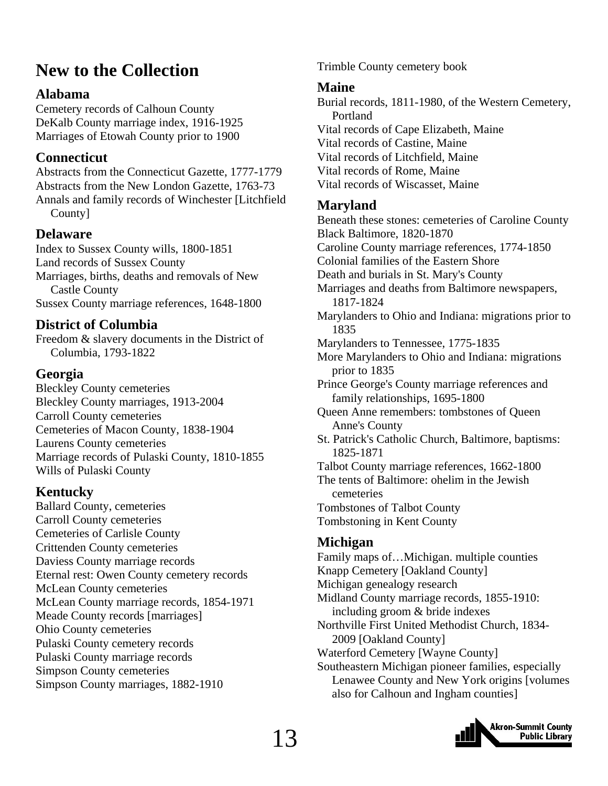# <span id="page-12-0"></span>**New to the Collection**

### **Alabama**

Cemetery records of Calhoun County DeKalb County marriage index, 1916-1925 Marriages of Etowah County prior to 1900

### **Connecticut**

Abstracts from the Connecticut Gazette, 1777-1779 Abstracts from the New London Gazette, 1763-73 Annals and family records of Winchester [Litchfield County]

### **Delaware**

Index to Sussex County wills, 1800-1851 Land records of Sussex County Marriages, births, deaths and removals of New Castle County Sussex County marriage references, 1648-1800

### **District of Columbia**

Freedom & slavery documents in the District of Columbia, 1793-1822

### **Georgia**

Bleckley County cemeteries Bleckley County marriages, 1913-2004 Carroll County cemeteries Cemeteries of Macon County, 1838-1904 Laurens County cemeteries Marriage records of Pulaski County, 1810-1855 Wills of Pulaski County

### **Kentucky**

Ballard County, cemeteries Carroll County cemeteries Cemeteries of Carlisle County Crittenden County cemeteries Daviess County marriage records Eternal rest: Owen County cemetery records McLean County cemeteries McLean County marriage records, 1854-1971 Meade County records [marriages] Ohio County cemeteries Pulaski County cemetery records Pulaski County marriage records Simpson County cemeteries Simpson County marriages, 1882-1910

Trimble County cemetery book

### **Maine**

Burial records, 1811-1980, of the Western Cemetery, Portland Vital records of Cape Elizabeth, Maine Vital records of Castine, Maine Vital records of Litchfield, Maine Vital records of Rome, Maine Vital records of Wiscasset, Maine

### **Maryland**

Beneath these stones: cemeteries of Caroline County Black Baltimore, 1820-1870 Caroline County marriage references, 1774-1850 Colonial families of the Eastern Shore Death and burials in St. Mary's County Marriages and deaths from Baltimore newspapers, 1817-1824 Marylanders to Ohio and Indiana: migrations prior to 1835 Marylanders to Tennessee, 1775-1835 More Marylanders to Ohio and Indiana: migrations prior to 1835 Prince George's County marriage references and family relationships, 1695-1800 Queen Anne remembers: tombstones of Queen Anne's County St. Patrick's Catholic Church, Baltimore, baptisms: 1825-1871 Talbot County marriage references, 1662-1800 The tents of Baltimore: ohelim in the Jewish cemeteries Tombstones of Talbot County Tombstoning in Kent County

### **Michigan**

Family maps of…Michigan. multiple counties Knapp Cemetery [Oakland County] Michigan genealogy research Midland County marriage records, 1855-1910: including groom & bride indexes Northville First United Methodist Church, 1834- 2009 [Oakland County] Waterford Cemetery [Wayne County] Southeastern Michigan pioneer families, especially Lenawee County and New York origins [volumes also for Calhoun and Ingham counties]

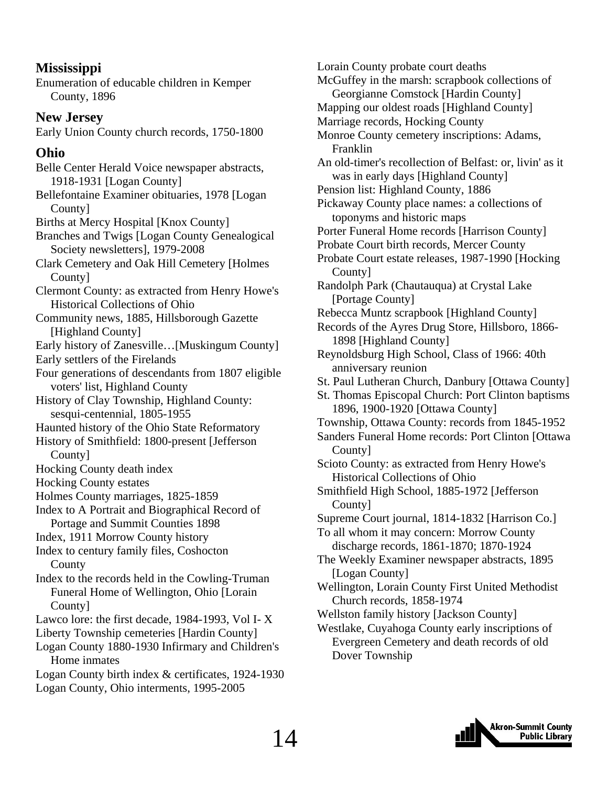### **Mississippi**

Enumeration of educable children in Kemper County, 1896

### **New Jersey**

Early Union County church records, 1750-1800

### **Ohio**

Belle Center Herald Voice newspaper abstracts, 1918-1931 [Logan County] Bellefontaine Examiner obituaries, 1978 [Logan County]

Births at Mercy Hospital [Knox County]

Branches and Twigs [Logan County Genealogical Society newsletters], 1979-2008

Clark Cemetery and Oak Hill Cemetery [Holmes County]

Clermont County: as extracted from Henry Howe's Historical Collections of Ohio

Community news, 1885, Hillsborough Gazette [Highland County]

Early history of Zanesville…[Muskingum County] Early settlers of the Firelands

Four generations of descendants from 1807 eligible voters' list, Highland County

History of Clay Township, Highland County: sesqui-centennial, 1805-1955

Haunted history of the Ohio State Reformatory

- History of Smithfield: 1800-present [Jefferson County]
- Hocking County death index
- Hocking County estates
- Holmes County marriages, 1825-1859

Index to A Portrait and Biographical Record of Portage and Summit Counties 1898

Index, 1911 Morrow County history

- Index to century family files, Coshocton **County**
- Index to the records held in the Cowling-Truman Funeral Home of Wellington, Ohio [Lorain County]
- Lawco lore: the first decade, 1984-1993, Vol I- X

Liberty Township cemeteries [Hardin County]

- Logan County 1880-1930 Infirmary and Children's Home inmates
- Logan County birth index & certificates, 1924-1930 Logan County, Ohio interments, 1995-2005

Lorain County probate court deaths McGuffey in the marsh: scrapbook collections of Georgianne Comstock [Hardin County] Mapping our oldest roads [Highland County] Marriage records, Hocking County Monroe County cemetery inscriptions: Adams, Franklin An old-timer's recollection of Belfast: or, livin' as it was in early days [Highland County] Pension list: Highland County, 1886 Pickaway County place names: a collections of toponyms and historic maps Porter Funeral Home records [Harrison County] Probate Court birth records, Mercer County Probate Court estate releases, 1987-1990 [Hocking County] Randolph Park (Chautauqua) at Crystal Lake [Portage County] Rebecca Muntz scrapbook [Highland County] Records of the Ayres Drug Store, Hillsboro, 1866- 1898 [Highland County] Reynoldsburg High School, Class of 1966: 40th anniversary reunion St. Paul Lutheran Church, Danbury [Ottawa County] St. Thomas Episcopal Church: Port Clinton baptisms 1896, 1900-1920 [Ottawa County] Township, Ottawa County: records from 1845-1952 Sanders Funeral Home records: Port Clinton [Ottawa County] Scioto County: as extracted from Henry Howe's Historical Collections of Ohio Smithfield High School, 1885-1972 [Jefferson County] Supreme Court journal, 1814-1832 [Harrison Co.] To all whom it may concern: Morrow County discharge records, 1861-1870; 1870-1924 The Weekly Examiner newspaper abstracts, 1895 [Logan County] Wellington, Lorain County First United Methodist Church records, 1858-1974 Wellston family history [Jackson County] Westlake, Cuyahoga County early inscriptions of Evergreen Cemetery and death records of old



Dover Township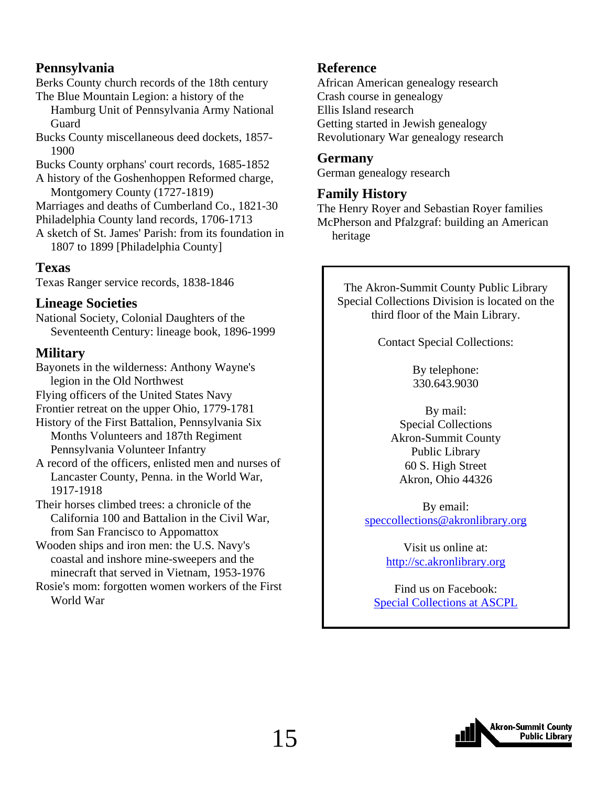### **Pennsylvania**

Berks County church records of the 18th century The Blue Mountain Legion: a history of the

 Hamburg Unit of Pennsylvania Army National **Guard** 

Bucks County miscellaneous deed dockets, 1857- 1900

Bucks County orphans' court records, 1685-1852

A history of the Goshenhoppen Reformed charge, Montgomery County (1727-1819)

Marriages and deaths of Cumberland Co., 1821-30

Philadelphia County land records, 1706-1713

A sketch of St. James' Parish: from its foundation in 1807 to 1899 [Philadelphia County]

### **Texas**

Texas Ranger service records, 1838-1846

### **Lineage Societies**

National Society, Colonial Daughters of the Seventeenth Century: lineage book, 1896-1999

### **Military**

Bayonets in the wilderness: Anthony Wayne's legion in the Old Northwest Flying officers of the United States Navy Frontier retreat on the upper Ohio, 1779-1781 History of the First Battalion, Pennsylvania Six

- Months Volunteers and 187th Regiment Pennsylvania Volunteer Infantry
- A record of the officers, enlisted men and nurses of Lancaster County, Penna. in the World War, 1917-1918

Their horses climbed trees: a chronicle of the California 100 and Battalion in the Civil War, from San Francisco to Appomattox

Wooden ships and iron men: the U.S. Navy's coastal and inshore mine-sweepers and the minecraft that served in Vietnam, 1953-1976

Rosie's mom: forgotten women workers of the First World War

### **Reference**

African American genealogy research Crash course in genealogy Ellis Island research Getting started in Jewish genealogy Revolutionary War genealogy research

### **Germany**

German genealogy research

### **Family History**

The Henry Royer and Sebastian Royer families McPherson and Pfalzgraf: building an American heritage

The Akron-Summit County Public Library Special Collections Division is located on the third floor of the Main Library.

Contact Special Collections:

By telephone: 330.643.9030

By mail: Special Collections Akron-Summit County Public Library 60 S. High Street Akron, Ohio 44326

By email: speccollections@akronlibrary.org

> Visit us online at: http://sc.akronlibrary.org

Find us on Facebook: [Special Collections at ASCPL](http://www.facebook.com/pages/Special-Collections-at-ASCPL/292311629691)